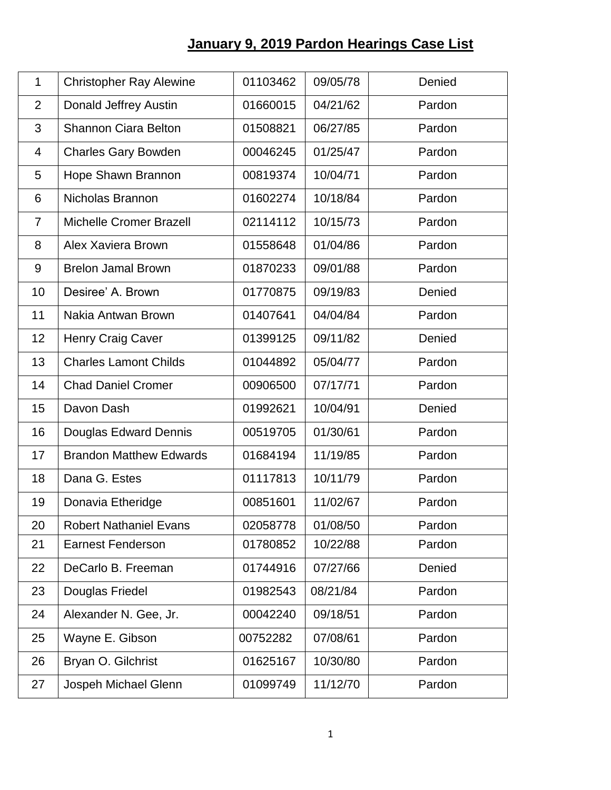## **January 9, 2019 Pardon Hearings Case List**

| $\mathbf{1}$   | <b>Christopher Ray Alewine</b> | 01103462 | 09/05/78 | Denied |
|----------------|--------------------------------|----------|----------|--------|
| $\overline{2}$ | Donald Jeffrey Austin          | 01660015 | 04/21/62 | Pardon |
| 3              | <b>Shannon Ciara Belton</b>    | 01508821 | 06/27/85 | Pardon |
| 4              | <b>Charles Gary Bowden</b>     | 00046245 | 01/25/47 | Pardon |
| 5              | Hope Shawn Brannon             | 00819374 | 10/04/71 | Pardon |
| 6              | Nicholas Brannon               | 01602274 | 10/18/84 | Pardon |
| $\overline{7}$ | <b>Michelle Cromer Brazell</b> | 02114112 | 10/15/73 | Pardon |
| 8              | Alex Xaviera Brown             | 01558648 | 01/04/86 | Pardon |
| 9              | <b>Brelon Jamal Brown</b>      | 01870233 | 09/01/88 | Pardon |
| 10             | Desiree' A. Brown              | 01770875 | 09/19/83 | Denied |
| 11             | Nakia Antwan Brown             | 01407641 | 04/04/84 | Pardon |
| 12             | Henry Craig Caver              | 01399125 | 09/11/82 | Denied |
| 13             | <b>Charles Lamont Childs</b>   | 01044892 | 05/04/77 | Pardon |
| 14             | <b>Chad Daniel Cromer</b>      | 00906500 | 07/17/71 | Pardon |
| 15             | Davon Dash                     | 01992621 | 10/04/91 | Denied |
| 16             | Douglas Edward Dennis          | 00519705 | 01/30/61 | Pardon |
| 17             | <b>Brandon Matthew Edwards</b> | 01684194 | 11/19/85 | Pardon |
| 18             | Dana G. Estes                  | 01117813 | 10/11/79 | Pardon |
| 19             | Donavia Etheridge              | 00851601 | 11/02/67 | Pardon |
| 20             | <b>Robert Nathaniel Evans</b>  | 02058778 | 01/08/50 | Pardon |
| 21             | <b>Earnest Fenderson</b>       | 01780852 | 10/22/88 | Pardon |
| 22             | DeCarlo B. Freeman             | 01744916 | 07/27/66 | Denied |
| 23             | Douglas Friedel                | 01982543 | 08/21/84 | Pardon |
| 24             | Alexander N. Gee, Jr.          | 00042240 | 09/18/51 | Pardon |
| 25             | Wayne E. Gibson                | 00752282 | 07/08/61 | Pardon |
| 26             | Bryan O. Gilchrist             | 01625167 | 10/30/80 | Pardon |
| 27             | Jospeh Michael Glenn           | 01099749 | 11/12/70 | Pardon |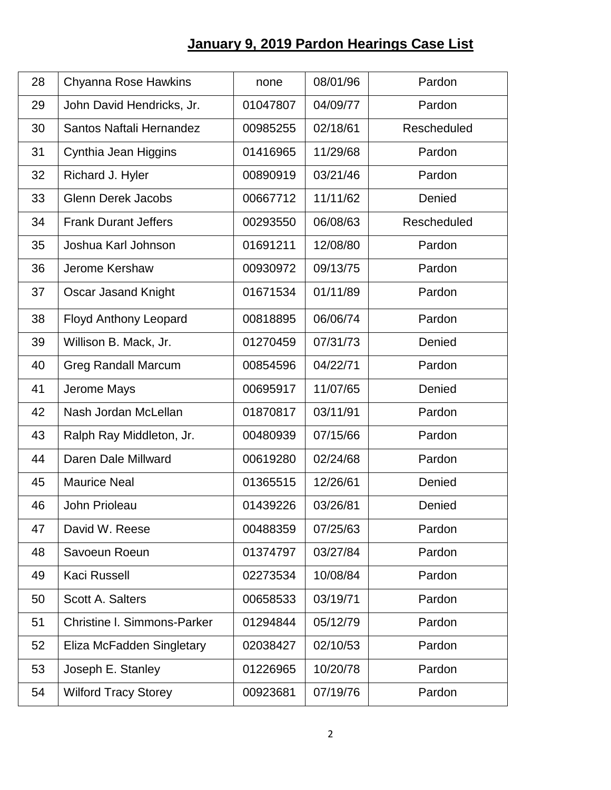## **January 9, 2019 Pardon Hearings Case List**

| 28 | Chyanna Rose Hawkins               | none     | 08/01/96 | Pardon      |
|----|------------------------------------|----------|----------|-------------|
| 29 | John David Hendricks, Jr.          | 01047807 | 04/09/77 | Pardon      |
| 30 | Santos Naftali Hernandez           | 00985255 | 02/18/61 | Rescheduled |
| 31 | Cynthia Jean Higgins               | 01416965 | 11/29/68 | Pardon      |
| 32 | Richard J. Hyler                   | 00890919 | 03/21/46 | Pardon      |
| 33 | <b>Glenn Derek Jacobs</b>          | 00667712 | 11/11/62 | Denied      |
| 34 | <b>Frank Durant Jeffers</b>        | 00293550 | 06/08/63 | Rescheduled |
| 35 | Joshua Karl Johnson                | 01691211 | 12/08/80 | Pardon      |
| 36 | Jerome Kershaw                     | 00930972 | 09/13/75 | Pardon      |
| 37 | Oscar Jasand Knight                | 01671534 | 01/11/89 | Pardon      |
| 38 | <b>Floyd Anthony Leopard</b>       | 00818895 | 06/06/74 | Pardon      |
| 39 | Willison B. Mack, Jr.              | 01270459 | 07/31/73 | Denied      |
| 40 | <b>Greg Randall Marcum</b>         | 00854596 | 04/22/71 | Pardon      |
| 41 | Jerome Mays                        | 00695917 | 11/07/65 | Denied      |
| 42 | Nash Jordan McLellan               | 01870817 | 03/11/91 | Pardon      |
| 43 | Ralph Ray Middleton, Jr.           | 00480939 | 07/15/66 | Pardon      |
| 44 | Daren Dale Millward                | 00619280 | 02/24/68 | Pardon      |
| 45 | <b>Maurice Neal</b>                | 01365515 | 12/26/61 | Denied      |
| 46 | John Prioleau                      | 01439226 | 03/26/81 | Denied      |
| 47 | David W. Reese                     | 00488359 | 07/25/63 | Pardon      |
| 48 | Savoeun Roeun                      | 01374797 | 03/27/84 | Pardon      |
| 49 | <b>Kaci Russell</b>                | 02273534 | 10/08/84 | Pardon      |
| 50 | Scott A. Salters                   | 00658533 | 03/19/71 | Pardon      |
| 51 | <b>Christine I. Simmons-Parker</b> | 01294844 | 05/12/79 | Pardon      |
| 52 | Eliza McFadden Singletary          | 02038427 | 02/10/53 | Pardon      |
| 53 | Joseph E. Stanley                  | 01226965 | 10/20/78 | Pardon      |
| 54 | <b>Wilford Tracy Storey</b>        | 00923681 | 07/19/76 | Pardon      |